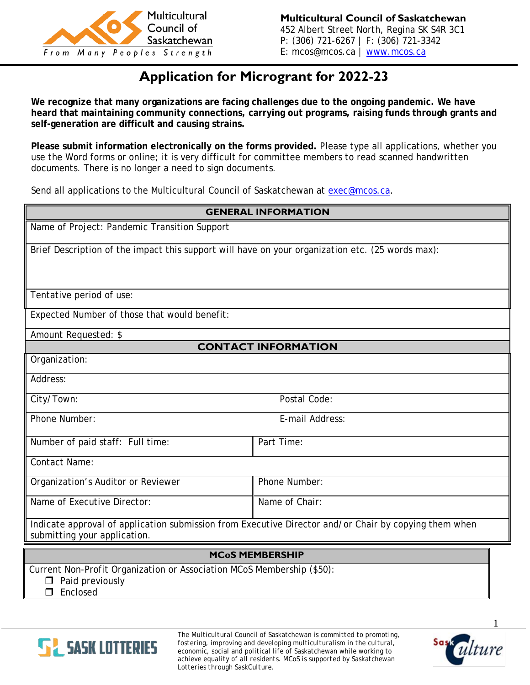

## **Application for Microgrant for 2022-23**

**We recognize that many organizations are facing challenges due to the ongoing pandemic. We have heard that maintaining community connections, carrying out programs, raising funds through grants and self-generation are difficult and causing strains.**

**Please submit information electronically on the forms provided.** Please type all applications, whether you use the Word forms or online; it is very difficult for committee members to read scanned handwritten documents. There is no longer a need to sign documents.

Send all applications to the Multicultural Council of Saskatchewan at [exec@mcos.ca.](mailto:exec@mcos.ca)

| <b>GENERAL INFORMATION</b>                                                                                                            |                 |
|---------------------------------------------------------------------------------------------------------------------------------------|-----------------|
| Name of Project: Pandemic Transition Support                                                                                          |                 |
| Brief Description of the impact this support will have on your organization etc. (25 words max):                                      |                 |
|                                                                                                                                       |                 |
| Tentative period of use:                                                                                                              |                 |
| Expected Number of those that would benefit:                                                                                          |                 |
| Amount Requested: \$                                                                                                                  |                 |
| <b>CONTACT INFORMATION</b>                                                                                                            |                 |
| Organization:                                                                                                                         |                 |
| Address:                                                                                                                              |                 |
| City/Town:                                                                                                                            | Postal Code:    |
| Phone Number:                                                                                                                         | E-mail Address: |
| Number of paid staff: Full time:                                                                                                      | Part Time:      |
| <b>Contact Name:</b>                                                                                                                  |                 |
| Organization's Auditor or Reviewer                                                                                                    | Phone Number:   |
| Name of Executive Director:                                                                                                           | Name of Chair:  |
| Indicate approval of application submission from Executive Director and/or Chair by copying them when<br>submitting your application. |                 |
| <b>MCoS MEMBERSHIP</b>                                                                                                                |                 |
| Current Non-Profit Organization or Association MCoS Membership (\$50):<br>$\Box$ Paid previously                                      |                 |

**Enclosed** 



*The Multicultural Council of Saskatchewan is committed to promoting, fostering, improving and developing multiculturalism in the cultural, economic, social and political life of Saskatchewan while working to achieve equality of all residents. MCoS is supported by Saskatchewan Lotteries through SaskCulture.*

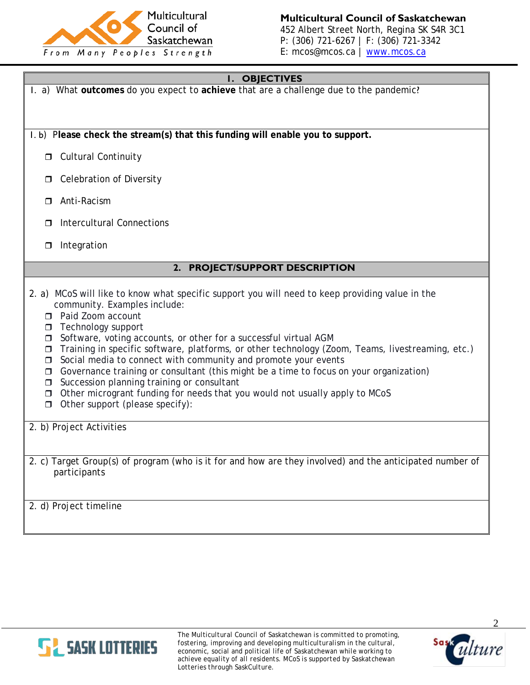

**Multicultural Council of Saskatchewan** 452 Albert Street North, Regina SK S4R 3C1 P: (306) 721-6267 | F: (306) 721-3342 E: mcos@mcos.ca | [www.mcos.ca](http://www.mcos.ca/)

## **1. OBJECTIVES**

1. a) What **outcomes** do you expect to **achieve** that are a challenge due to the pandemic? 1. b) P**lease check the stream(s) that this funding will enable you to support. D** Cultural Continuity **D** Celebration of Diversity □ Anti-Racism □ Intercultural Connections  $\Box$  Integration **2. PROJECT/SUPPORT DESCRIPTION** 2. a) MCoS will like to know what specific support you will need to keep providing value in the community. Examples include: □ Paid Zoom account  $\Box$  Technology support □ Software, voting accounts, or other for a successful virtual AGM Training in specific software, platforms, or other technology (Zoom, Teams, livestreaming, etc.)  $\Box$  Social media to connect with community and promote your events  $\Box$  Governance training or consultant (this might be a time to focus on your organization)  $\Box$  Succession planning training or consultant  $\Box$  Other microgrant funding for needs that you would not usually apply to MCoS  $\Box$  Other support (please specify): 2. b) Project Activities 2. c) Target Group(s) of program (who is it for and how are they involved) and the anticipated number of participants 2. d) Project timeline